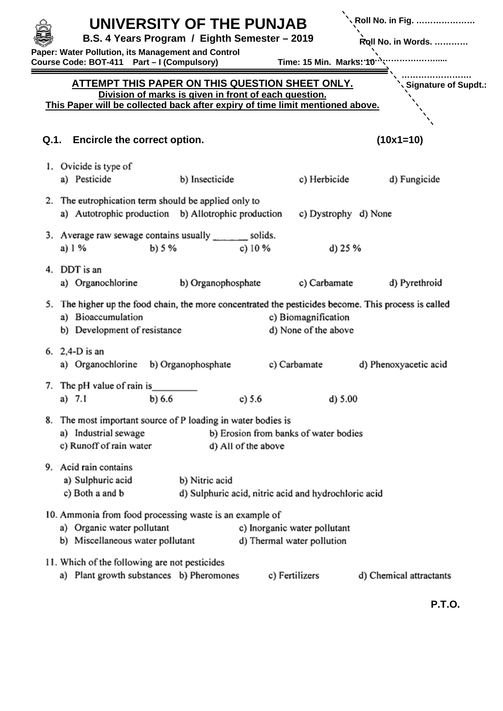|      | UNIVERSITY OF THE PUNJAB<br>B.S. 4 Years Program / Eighth Semester - 2019<br>Paper: Water Pollution, its Management and Control<br>Course Code: BOT-411    Part - I (Compulsory)          | Time: 15 Min. Marks: 10 $\cdot$             | <b>\ Roll No. in Fig. </b><br>Roll No. in Words. |
|------|-------------------------------------------------------------------------------------------------------------------------------------------------------------------------------------------|---------------------------------------------|--------------------------------------------------|
|      | ATTEMPT THIS PAPER ON THIS QUESTION SHEET ONLY.<br>Division of marks is given in front of each question.<br>This Paper will be collected back after expiry of time limit mentioned above. |                                             | Signature of Supdt.:                             |
| Q.1. | <b>Encircle the correct option.</b>                                                                                                                                                       |                                             | $(10x1=10)$                                      |
|      | 1. Ovicide is type of<br>a) Pesticide<br>b) Insecticide                                                                                                                                   | c) Herbicide                                | d) Fungicide                                     |
|      | 2. The eutrophication term should be applied only to<br>a) Autotrophic production b) Allotrophic production                                                                               | c) Dystrophy d) None                        |                                                  |
|      | 3. Average raw sewage contains usually _______ solids.<br>b) $5%$<br>a) 1 %<br>c) $10\%$                                                                                                  | d) $25%$                                    |                                                  |
| 4.   | DDT is an<br>b) Organophosphate<br>a) Organochlorine                                                                                                                                      | c) Carbamate                                | d) Pyrethroid                                    |
|      | 5. The higher up the food chain, the more concentrated the pesticides become. This process is called<br>a) Bioaccumulation<br>b) Development of resistance                                | c) Biomagnification<br>d) None of the above |                                                  |
|      | 6. $2,4-D$ is an<br>a) Organochlorine<br>b) Organophosphate<br>c) Carbamate                                                                                                               |                                             | d) Phenoxyacetic acid                            |
|      | 7. The pH value of rain is<br>a) $7.1$<br>b) 6.6<br>c) $5.6$                                                                                                                              | $d$ ) 5.00                                  |                                                  |
|      | 8. The most important source of P loading in water bodies is<br>a) Industrial sewage<br>b) Erosion from banks of water bodies<br>c) Runoff of rain water<br>d) All of the above           |                                             |                                                  |
|      | 9. Acid rain contains<br>a) Sulphuric acid<br>b) Nitric acid<br>c) Both a and b<br>d) Sulphuric acid, nitric acid and hydrochloric acid                                                   |                                             |                                                  |
|      | 10. Ammonia from food processing waste is an example of<br>a) Organic water pollutant<br>c) Inorganic water pollutant<br>b) Miscellaneous water pollutant<br>d) Thermal water pollution   |                                             |                                                  |
|      | 11. Which of the following are not pesticides<br>a) Plant growth substances b) Pheromones<br>c) Fertilizers                                                                               |                                             | d) Chemical attractants                          |

**P.T.O.**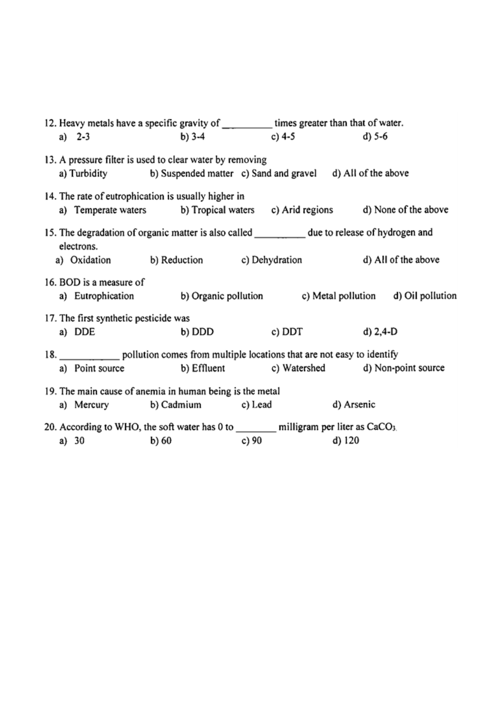| 12. Heavy metals have a specific gravity of ____________ times greater than that of water.<br>a) $2-3$                                                                         | $b) 3-4$ | c) $4-5$ | $d) 5-6$   |  |  |  |  |
|--------------------------------------------------------------------------------------------------------------------------------------------------------------------------------|----------|----------|------------|--|--|--|--|
| 13. A pressure filter is used to clear water by removing<br>a) Turbidity b) Suspended matter c) Sand and gravel d) All of the above                                            |          |          |            |  |  |  |  |
| 14. The rate of eutrophication is usually higher in<br>a) Temperate waters b) Tropical waters c) Arid regions d) None of the above                                             |          |          |            |  |  |  |  |
| 15. The degradation of organic matter is also called ____________ due to release of hydrogen and<br>electrons.<br>a) Oxidation b) Reduction c) Dehydration d) All of the above |          |          |            |  |  |  |  |
| 16. BOD is a measure of<br>a) Eutrophication b) Organic pollution c) Metal pollution d) Oil pollution                                                                          |          |          |            |  |  |  |  |
| 17. The first synthetic pesticide was<br>a) DDE                                                                                                                                | b) DDD   | c) DDT   | $d) 2,4-D$ |  |  |  |  |
| 18. ___________________ pollution comes from multiple locations that are not easy to identify<br>b) Effluent c) Watershed d) Non-point source<br>a) Point source               |          |          |            |  |  |  |  |
| 19. The main cause of anemia in human being is the metal<br>a) Mercury b) Cadmium c) Lead<br>d) Arsenic                                                                        |          |          |            |  |  |  |  |
| 20. According to WHO, the soft water has $0$ to __________ milligram per liter as CaCO <sub>3</sub> .<br>c) $90$<br>b) $60$<br>d) $120$<br>a) 30                               |          |          |            |  |  |  |  |